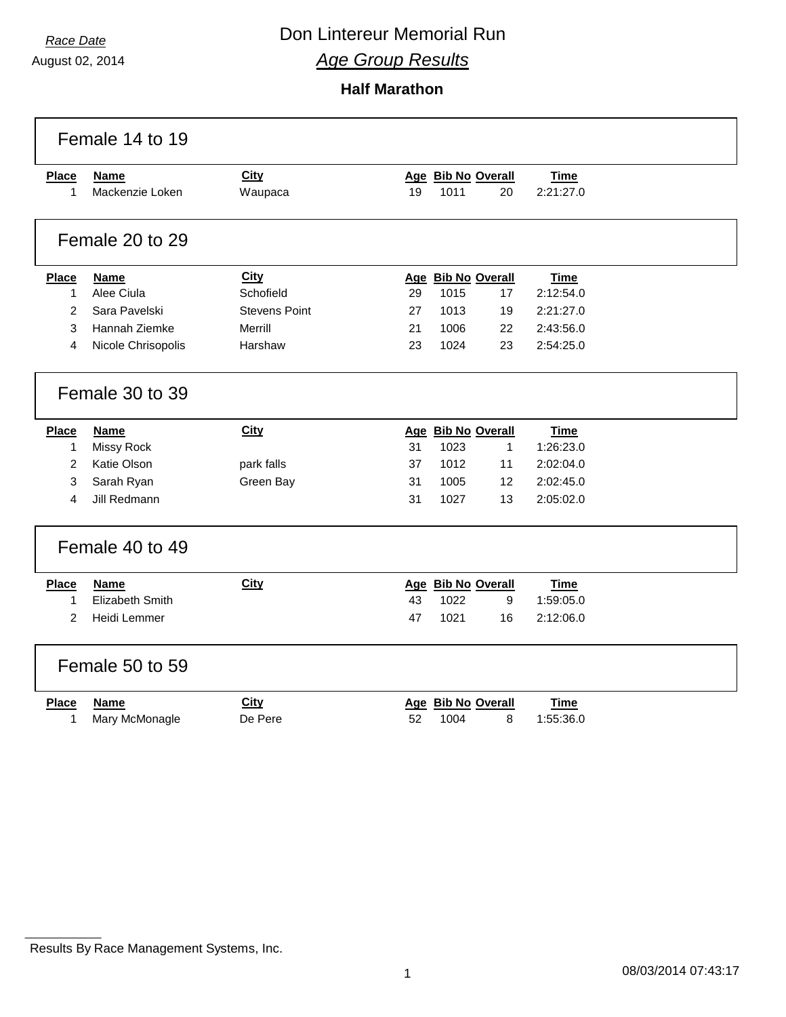August 02, 2014

# *Race Date* **Con Lintereur Memorial Run**

*Age Group Results*

**Half Marathon**

|                | Female 14 to 19        |                      |    |                    |              |             |  |
|----------------|------------------------|----------------------|----|--------------------|--------------|-------------|--|
| <b>Place</b>   | <b>Name</b>            | <b>City</b>          |    | Age Bib No Overall |              | <b>Time</b> |  |
| $\mathbf{1}$   | Mackenzie Loken        | Waupaca              | 19 | 1011               | 20           | 2:21:27.0   |  |
|                | Female 20 to 29        |                      |    |                    |              |             |  |
| Place          | <b>Name</b>            | <b>City</b>          |    | Age Bib No Overall |              | Time        |  |
| 1              | Alee Ciula             | Schofield            | 29 | 1015               | 17           | 2:12:54.0   |  |
| 2              | Sara Pavelski          | <b>Stevens Point</b> | 27 | 1013               | 19           | 2:21:27.0   |  |
| 3              | Hannah Ziemke          | Merrill              | 21 | 1006               | 22           | 2:43:56.0   |  |
| 4              | Nicole Chrisopolis     | Harshaw              | 23 | 1024               | 23           | 2:54:25.0   |  |
|                | Female 30 to 39        |                      |    |                    |              |             |  |
| <b>Place</b>   | Name                   | <b>City</b>          |    | Age Bib No Overall |              | <b>Time</b> |  |
| $\mathbf{1}$   | <b>Missy Rock</b>      |                      | 31 | 1023               | $\mathbf{1}$ | 1:26:23.0   |  |
| $\overline{2}$ | Katie Olson            | park falls           | 37 | 1012               | 11           | 2:02:04.0   |  |
| 3              | Sarah Ryan             | Green Bay            | 31 | 1005               | 12           | 2:02:45.0   |  |
| 4              | Jill Redmann           |                      | 31 | 1027               | 13           | 2:05:02.0   |  |
|                | Female 40 to 49        |                      |    |                    |              |             |  |
| Place          | <b>Name</b>            | <b>City</b>          |    | Age Bib No Overall |              | <b>Time</b> |  |
| 1              | <b>Elizabeth Smith</b> |                      | 43 | 1022               | 9            | 1:59:05.0   |  |
| 2              | Heidi Lemmer           |                      | 47 | 1021               | 16           | 2:12:06.0   |  |
|                | Female 50 to 59        |                      |    |                    |              |             |  |
| <b>Place</b>   | <b>Name</b>            | City                 |    | Age Bib No Overall |              | <b>Time</b> |  |
| 1              | Mary McMonagle         | De Pere              | 52 | 1004               | 8            | 1:55:36.0   |  |

Results By Race Management Systems, Inc.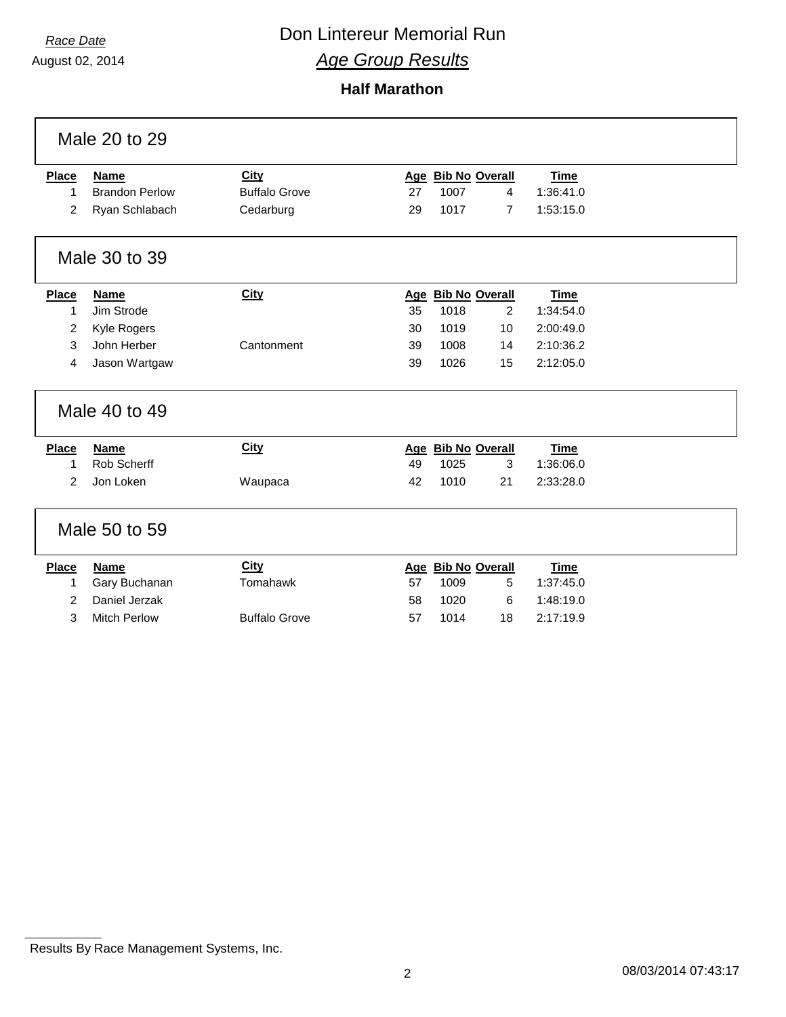August 02, 2014

**Half Marathon**

|                | Male 20 to 29         |                      |    |      |                    |             |  |
|----------------|-----------------------|----------------------|----|------|--------------------|-------------|--|
| <b>Place</b>   | <b>Name</b>           | <b>City</b>          |    |      | Age Bib No Overall | <b>Time</b> |  |
| 1              | <b>Brandon Perlow</b> | <b>Buffalo Grove</b> | 27 | 1007 | 4                  | 1:36:41.0   |  |
| $\overline{2}$ | Ryan Schlabach        | Cedarburg            | 29 | 1017 | $\overline{7}$     | 1:53:15.0   |  |
|                | Male 30 to 39         |                      |    |      |                    |             |  |
| <b>Place</b>   | <b>Name</b>           | <b>City</b>          |    |      | Age Bib No Overall | <b>Time</b> |  |
| 1              | Jim Strode            |                      | 35 | 1018 | 2                  | 1:34:54.0   |  |
| 2              | Kyle Rogers           |                      | 30 | 1019 | 10                 | 2:00:49.0   |  |
| 3              | John Herber           | Cantonment           | 39 | 1008 | 14                 | 2:10:36.2   |  |
| 4              | Jason Wartgaw         |                      | 39 | 1026 | 15                 | 2:12:05.0   |  |
|                | Male 40 to 49         |                      |    |      |                    |             |  |
| <b>Place</b>   | <b>Name</b>           | <b>City</b>          |    |      | Age Bib No Overall | <b>Time</b> |  |
| 1              | Rob Scherff           |                      | 49 | 1025 | 3                  | 1:36:06.0   |  |
| 2              | Jon Loken             | Waupaca              | 42 | 1010 | 21                 | 2:33:28.0   |  |
|                | Male 50 to 59         |                      |    |      |                    |             |  |
| <b>Place</b>   | <b>Name</b>           | City                 |    |      | Age Bib No Overall | <b>Time</b> |  |
| 1              | Gary Buchanan         | Tomahawk             | 57 | 1009 | 5                  | 1:37:45.0   |  |
| 2              | Daniel Jerzak         |                      | 58 | 1020 | 6                  | 1:48:19.0   |  |
| 3              | <b>Mitch Perlow</b>   | <b>Buffalo Grove</b> | 57 | 1014 | 18                 | 2:17:19.9   |  |
|                |                       |                      |    |      |                    |             |  |

Results By Race Management Systems, Inc.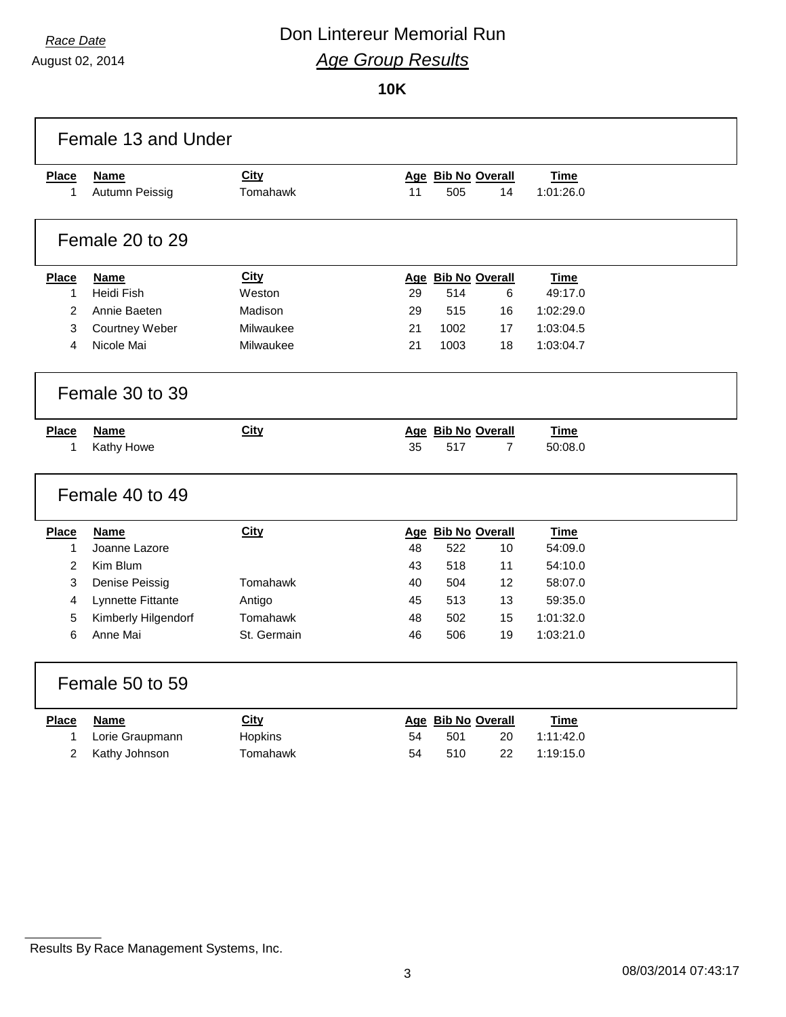August 02, 2014

**10K**

|                | Female 13 and Under |             |    |                    |                |             |  |
|----------------|---------------------|-------------|----|--------------------|----------------|-------------|--|
| <b>Place</b>   | <b>Name</b>         | <b>City</b> |    | Age Bib No Overall |                | Time        |  |
| $\mathbf{1}$   | Autumn Peissig      | Tomahawk    | 11 | 505                | 14             | 1:01:26.0   |  |
|                | Female 20 to 29     |             |    |                    |                |             |  |
| Place          | <b>Name</b>         | <b>City</b> |    | Age Bib No Overall |                | <b>Time</b> |  |
| 1              | Heidi Fish          | Weston      | 29 | 514                | 6              | 49:17.0     |  |
| $\overline{2}$ | Annie Baeten        | Madison     | 29 | 515                | 16             | 1:02:29.0   |  |
| 3              | Courtney Weber      | Milwaukee   | 21 | 1002               | 17             | 1:03:04.5   |  |
| 4              | Nicole Mai          | Milwaukee   | 21 | 1003               | 18             | 1:03:04.7   |  |
|                | Female 30 to 39     |             |    |                    |                |             |  |
| <b>Place</b>   | Name                | <b>City</b> |    | Age Bib No Overall |                | <b>Time</b> |  |
| 1              | Kathy Howe          |             | 35 | 517                | $\overline{7}$ | 50:08.0     |  |
|                | Female 40 to 49     |             |    |                    |                |             |  |
| <b>Place</b>   | Name                | City        |    | Age Bib No Overall |                | Time        |  |
| 1              | Joanne Lazore       |             | 48 | 522                | 10             | 54:09.0     |  |
| 2              | Kim Blum            |             | 43 | 518                | 11             | 54:10.0     |  |
| 3              | Denise Peissig      | Tomahawk    | 40 | 504                | 12             | 58:07.0     |  |
| 4              | Lynnette Fittante   | Antigo      | 45 | 513                | 13             | 59:35.0     |  |
| 5              | Kimberly Hilgendorf | Tomahawk    | 48 | 502                | 15             | 1:01:32.0   |  |
| 6              | Anne Mai            | St. Germain | 46 | 506                | 19             | 1:03:21.0   |  |
|                | Female 50 to 59     |             |    |                    |                |             |  |
| Place          | <b>Name</b>         | <b>City</b> |    | Age Bib No Overall |                | Time        |  |
| 1              | Lorie Graupmann     | Hopkins     | 54 | 501                | 20             | 1:11:42.0   |  |
| 2              | Kathy Johnson       | Tomahawk    | 54 | 510                | 22             | 1:19:15.0   |  |

Results By Race Management Systems, Inc.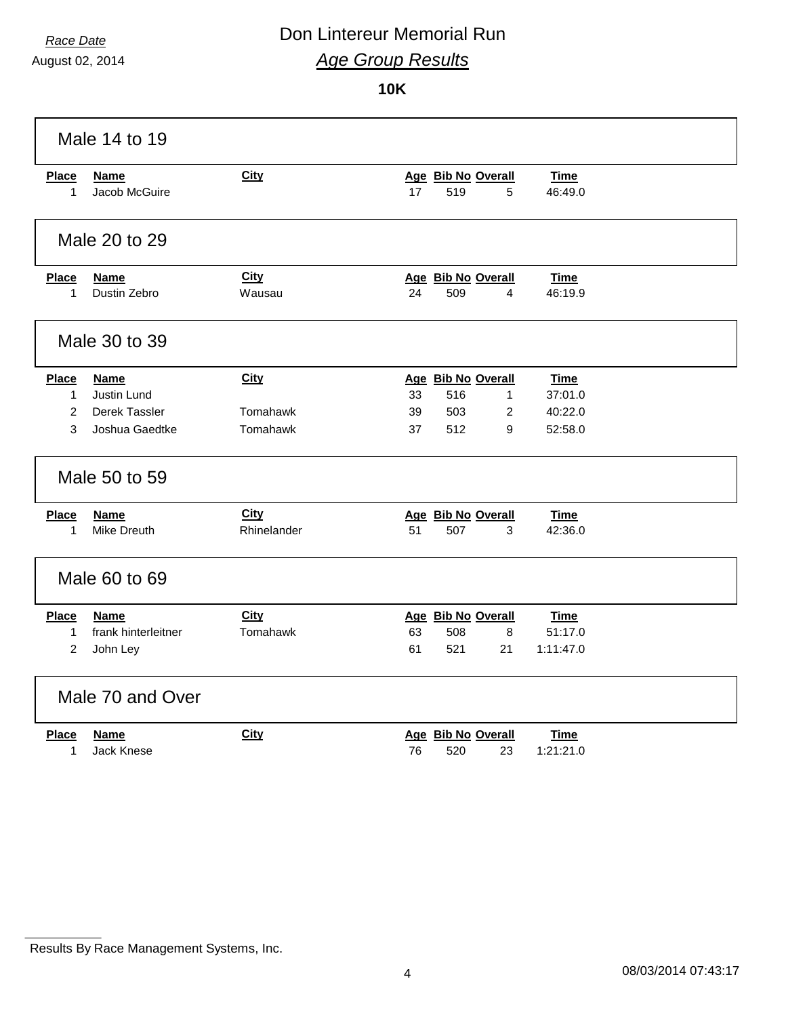August 02, 2014

#### **10K**

|                   | Male 14 to 19                |                |                                                                |  |
|-------------------|------------------------------|----------------|----------------------------------------------------------------|--|
| <b>Place</b><br>1 | <b>Name</b><br>Jacob McGuire | <b>City</b>    | Age Bib No Overall<br><b>Time</b><br>17<br>519<br>5<br>46:49.0 |  |
|                   | Male 20 to 29                |                |                                                                |  |
| <b>Place</b><br>1 | <b>Name</b><br>Dustin Zebro  | City<br>Wausau | Age Bib No Overall<br>Time<br>24<br>509<br>4<br>46:19.9        |  |
|                   | Male 30 to 39                |                |                                                                |  |
| <b>Place</b>      | <b>Name</b>                  | <b>City</b>    | Age Bib No Overall<br><b>Time</b>                              |  |
| $\mathbf{1}$      | <b>Justin Lund</b>           |                | 33<br>516<br>37:01.0<br>$\mathbf{1}$                           |  |
| 2                 | Derek Tassler                | Tomahawk       | 503<br>2<br>40:22.0<br>39                                      |  |
| 3                 | Joshua Gaedtke               | Tomahawk       | 37<br>512<br>9<br>52:58.0                                      |  |
|                   | Male 50 to 59                |                |                                                                |  |
| <b>Place</b>      | <b>Name</b>                  | <b>City</b>    | Age Bib No Overall<br><b>Time</b>                              |  |
| 1                 | Mike Dreuth                  | Rhinelander    | 507<br>51<br>3<br>42:36.0                                      |  |
|                   | Male 60 to 69                |                |                                                                |  |
| <b>Place</b>      | <b>Name</b>                  | <b>City</b>    | Age Bib No Overall<br><b>Time</b>                              |  |
| 1                 | frank hinterleitner          | Tomahawk       | 63<br>508<br>8<br>51:17.0                                      |  |
| 2                 | John Ley                     |                | 61<br>521<br>21<br>1:11:47.0                                   |  |
|                   | Male 70 and Over             |                |                                                                |  |
| Place             | <b>Name</b>                  | City           | Age Bib No Overall<br>Time                                     |  |
| 1                 | <b>Jack Knese</b>            |                | 520<br>1:21:21.0<br>76<br>23                                   |  |

Results By Race Management Systems, Inc.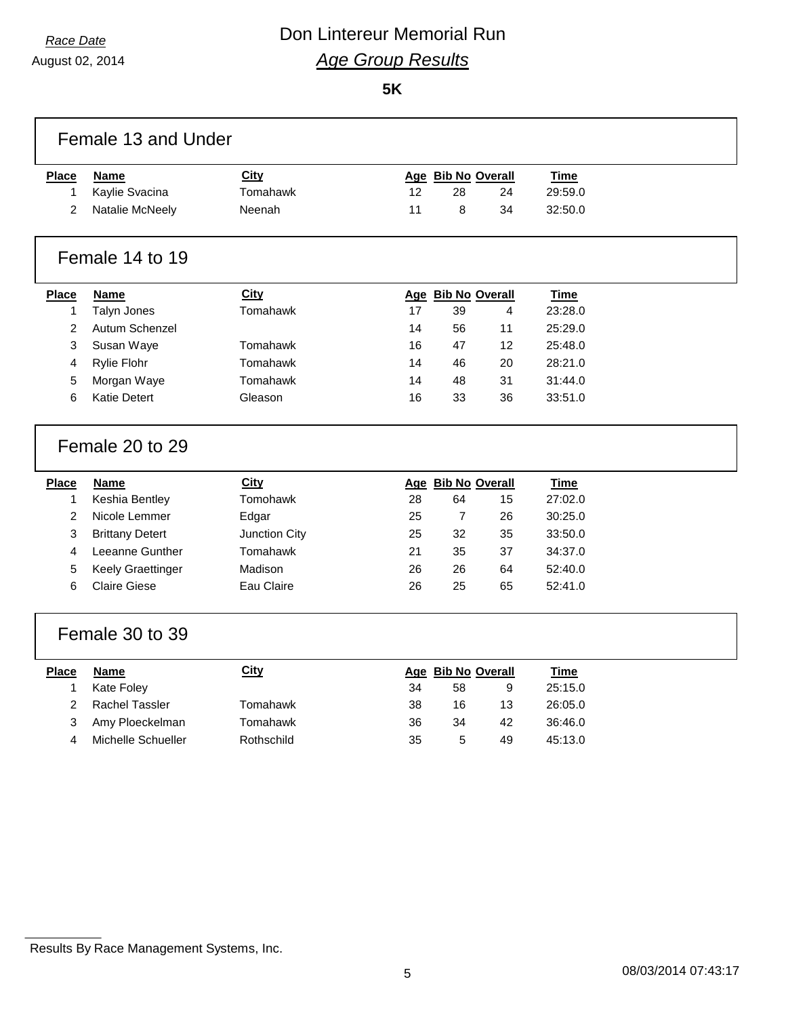August 02, 2014

**5K**

|              | Female 13 and Under      |               |    |                    |    |             |  |
|--------------|--------------------------|---------------|----|--------------------|----|-------------|--|
| <b>Place</b> | <b>Name</b>              | <b>City</b>   |    | Age Bib No Overall |    | <b>Time</b> |  |
| 1            | Kaylie Svacina           | Tomahawk      | 12 | 28                 | 24 | 29:59.0     |  |
| 2            | Natalie McNeely          | Neenah        | 11 | 8                  | 34 | 32:50.0     |  |
|              | Female 14 to 19          |               |    |                    |    |             |  |
| <b>Place</b> | <b>Name</b>              | City          |    | Age Bib No Overall |    | <b>Time</b> |  |
| 1            | Talyn Jones              | Tomahawk      | 17 | 39                 | 4  | 23:28.0     |  |
| 2            | Autum Schenzel           |               | 14 | 56                 | 11 | 25:29.0     |  |
| 3            | Susan Waye               | Tomahawk      | 16 | 47                 | 12 | 25:48.0     |  |
| 4            | <b>Rylie Flohr</b>       | Tomahawk      | 14 | 46                 | 20 | 28:21.0     |  |
| 5            | Morgan Waye              | Tomahawk      | 14 | 48                 | 31 | 31:44.0     |  |
| 6            | <b>Katie Detert</b>      | Gleason       | 16 | 33                 | 36 | 33:51.0     |  |
|              | Female 20 to 29          |               |    |                    |    |             |  |
| <b>Place</b> | <b>Name</b>              | City          |    | Age Bib No Overall |    | <b>Time</b> |  |
| 1            | Keshia Bentley           | Tomohawk      | 28 | 64                 | 15 | 27:02.0     |  |
| 2            | Nicole Lemmer            | Edgar         | 25 | $\overline{7}$     | 26 | 30:25.0     |  |
| 3            | <b>Brittany Detert</b>   | Junction City | 25 | 32                 | 35 | 33:50.0     |  |
| 4            | Leeanne Gunther          | Tomahawk      | 21 | 35                 | 37 | 34:37.0     |  |
| 5            | <b>Keely Graettinger</b> | Madison       | 26 | 26                 | 64 | 52:40.0     |  |
| 6            | <b>Claire Giese</b>      | Eau Claire    | 26 | 25                 | 65 | 52:41.0     |  |
|              | Female 30 to 39          |               |    |                    |    |             |  |
| <b>Place</b> | <b>Name</b>              | <b>City</b>   |    | Age Bib No Overall |    | <b>Time</b> |  |
| 1            | Kate Foley               |               | 34 | 58                 | 9  | 25:15.0     |  |
| 2            | <b>Rachel Tassler</b>    | Tomahawk      | 38 | 16                 | 13 | 26:05.0     |  |
| 3            | Amy Ploeckelman          | Tomahawk      | 36 | 34                 | 42 | 36:46.0     |  |
| 4            | Michelle Schueller       | Rothschild    | 35 | 5                  | 49 | 45:13.0     |  |
|              |                          |               |    |                    |    |             |  |
|              |                          |               |    |                    |    |             |  |

Results By Race Management Systems, Inc.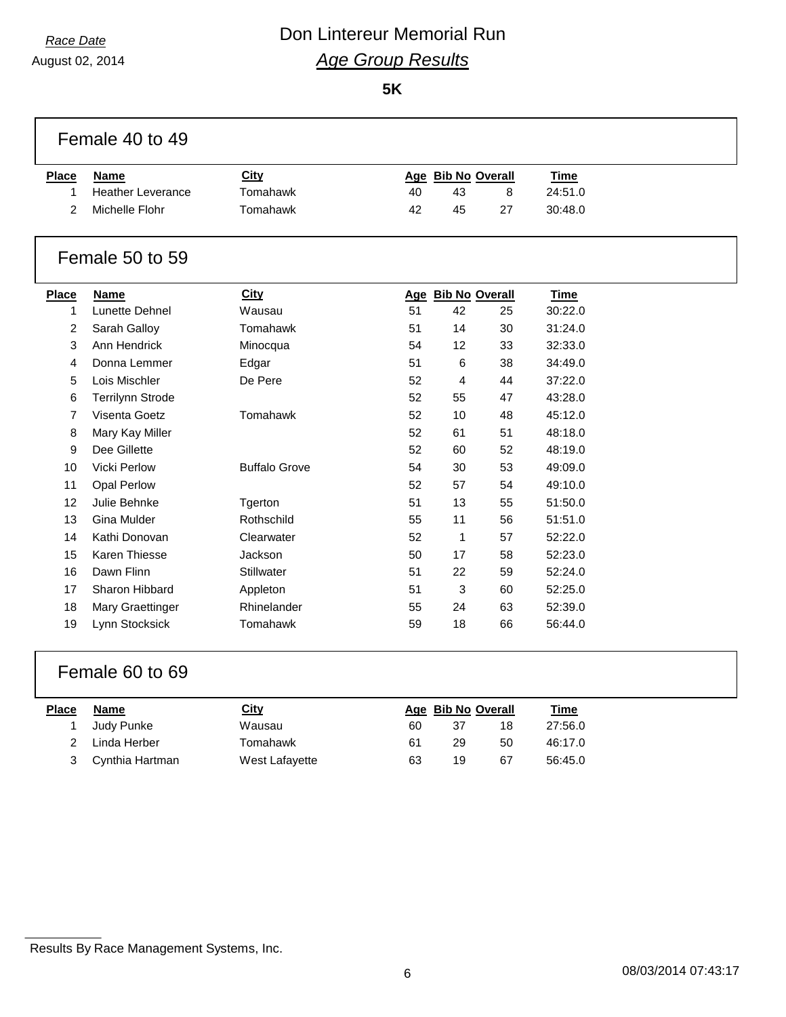August 02, 2014

**5K**

|              | Female 40 to 49          |                      |    |                    |    |             |  |
|--------------|--------------------------|----------------------|----|--------------------|----|-------------|--|
| <b>Place</b> | <b>Name</b>              | <b>City</b>          |    | Age Bib No Overall |    | Time        |  |
| 1            | <b>Heather Leverance</b> | Tomahawk             | 40 | 43                 | 8  | 24:51.0     |  |
| 2            | Michelle Flohr           | Tomahawk             | 42 | 45                 | 27 | 30:48.0     |  |
|              | Female 50 to 59          |                      |    |                    |    |             |  |
| <b>Place</b> | <b>Name</b>              | City                 |    | Age Bib No Overall |    | <b>Time</b> |  |
| 1            | Lunette Dehnel           | Wausau               | 51 | 42                 | 25 | 30:22.0     |  |
| 2            | Sarah Galloy             | Tomahawk             | 51 | 14                 | 30 | 31:24.0     |  |
| 3            | Ann Hendrick             | Minocqua             | 54 | 12                 | 33 | 32:33.0     |  |
| 4            | Donna Lemmer             | Edgar                | 51 | 6                  | 38 | 34:49.0     |  |
| 5            | Lois Mischler            | De Pere              | 52 | 4                  | 44 | 37:22.0     |  |
| 6            | <b>Terrilynn Strode</b>  |                      | 52 | 55                 | 47 | 43:28.0     |  |
| 7            | Visenta Goetz            | Tomahawk             | 52 | 10                 | 48 | 45:12.0     |  |
| 8            | Mary Kay Miller          |                      | 52 | 61                 | 51 | 48:18.0     |  |
| 9            | Dee Gillette             |                      | 52 | 60                 | 52 | 48:19.0     |  |
| 10           | Vicki Perlow             | <b>Buffalo Grove</b> | 54 | 30                 | 53 | 49:09.0     |  |
| 11           | <b>Opal Perlow</b>       |                      | 52 | 57                 | 54 | 49:10.0     |  |
| 12           | Julie Behnke             | Tgerton              | 51 | 13                 | 55 | 51:50.0     |  |
| 13           | Gina Mulder              | Rothschild           | 55 | 11                 | 56 | 51:51.0     |  |
| 14           | Kathi Donovan            | Clearwater           | 52 | $\mathbf{1}$       | 57 | 52:22.0     |  |
| 15           | <b>Karen Thiesse</b>     | Jackson              | 50 | 17                 | 58 | 52:23.0     |  |
| 16           | Dawn Flinn               | Stillwater           | 51 | 22                 | 59 | 52:24.0     |  |
| 17           | Sharon Hibbard           | Appleton             | 51 | 3                  | 60 | 52:25.0     |  |
| 18           | Mary Graettinger         | Rhinelander          | 55 | 24                 | 63 | 52:39.0     |  |
| 19           | Lynn Stocksick           | Tomahawk             | 59 | 18                 | 66 | 56:44.0     |  |
|              |                          |                      |    |                    |    |             |  |

#### Female 60 to 69

| <b>Place</b>  | Name              | City           |    | Age Bib No Overall |    | <u>Time</u> |
|---------------|-------------------|----------------|----|--------------------|----|-------------|
|               | Judy Punke        | Wausau         | 60 | 37                 | 18 | 27:56.0     |
| $\mathcal{P}$ | Linda Herber      | Tomahawk       | 61 | 29                 | 50 | 46:17.0     |
|               | 3 Cynthia Hartman | West Lafayette | 63 | 19                 | 67 | 56:45.0     |

Results By Race Management Systems, Inc.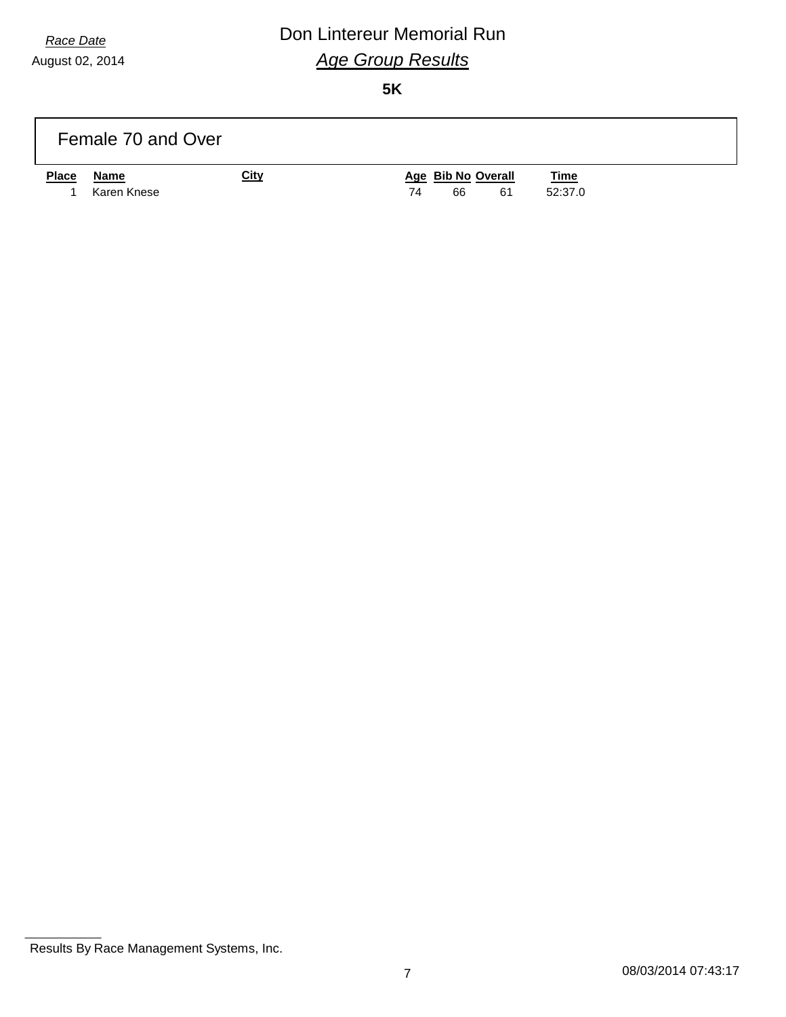August 02, 2014

## *Race Date* **Con Lintereur Memorial Run** *Age Group Results*

**5K**

|              | Female 70 and Over |             |    |    |                    |             |  |
|--------------|--------------------|-------------|----|----|--------------------|-------------|--|
| <b>Place</b> | Name               | <b>City</b> |    |    | Age Bib No Overall | <b>Time</b> |  |
|              | Karen Knese        |             | 74 | 66 | 61                 | 52:37.0     |  |

Results By Race Management Systems, Inc.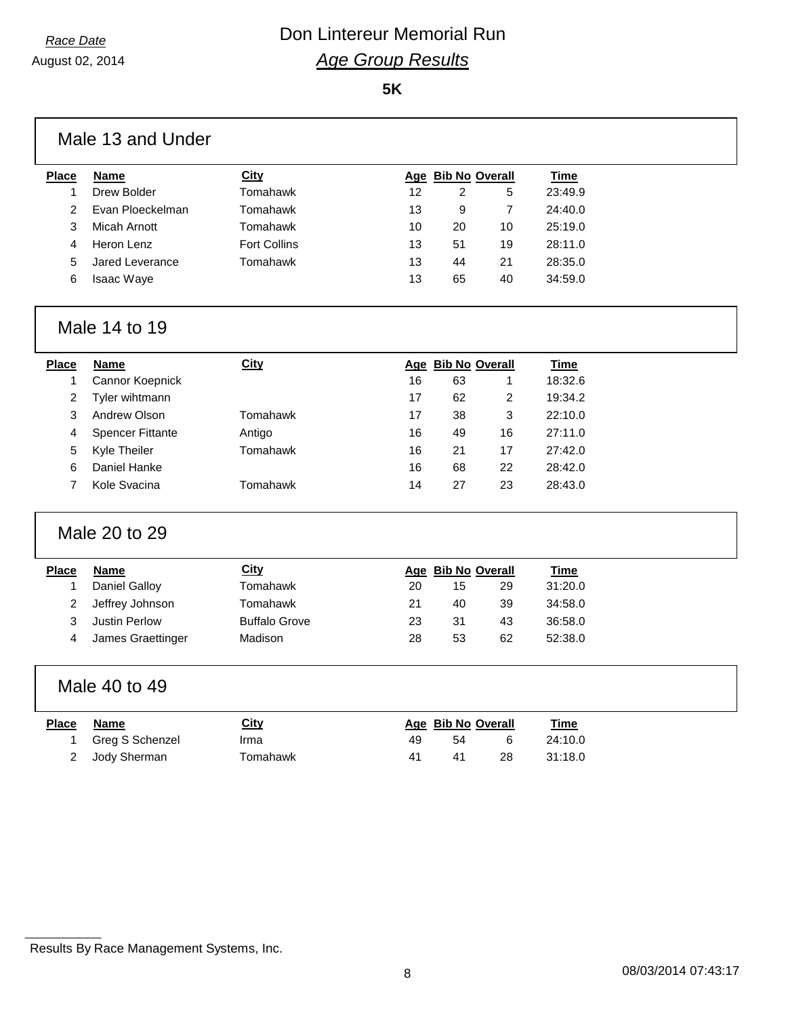August 02, 2014

**5K**

|                         | Male 13 and Under       |                      |    |                    |                         |             |  |
|-------------------------|-------------------------|----------------------|----|--------------------|-------------------------|-------------|--|
| <b>Place</b>            | <b>Name</b>             | <b>City</b>          |    | Age Bib No Overall |                         | <b>Time</b> |  |
| $\mathbf{1}$            | Drew Bolder             | Tomahawk             | 12 | $\overline{c}$     | 5                       | 23:49.9     |  |
| $\overline{2}$          | Evan Ploeckelman        | Tomahawk             | 13 | 9                  | 7                       | 24:40.0     |  |
| 3                       | <b>Micah Arnott</b>     | Tomahawk             | 10 | 20                 | 10                      | 25:19.0     |  |
| 4                       | Heron Lenz              | <b>Fort Collins</b>  | 13 | 51                 | 19                      | 28:11.0     |  |
| 5                       | Jared Leverance         | Tomahawk             | 13 | 44                 | 21                      | 28:35.0     |  |
| 6                       | Isaac Waye              |                      | 13 | 65                 | 40                      | 34:59.0     |  |
|                         | Male 14 to 19           |                      |    |                    |                         |             |  |
| <b>Place</b>            | <b>Name</b>             | <b>City</b>          |    | Age Bib No Overall |                         | <b>Time</b> |  |
| $\mathbf{1}$            | Cannor Koepnick         |                      | 16 | 63                 | 1                       | 18:32.6     |  |
| $\overline{\mathbf{c}}$ | Tyler wihtmann          |                      | 17 | 62                 | $\overline{\mathbf{c}}$ | 19:34.2     |  |
| 3                       | Andrew Olson            | Tomahawk             | 17 | 38                 | 3                       | 22:10.0     |  |
| 4                       | <b>Spencer Fittante</b> | Antigo               | 16 | 49                 | 16                      | 27:11.0     |  |
| 5                       | Kyle Theiler            | Tomahawk             | 16 | 21                 | 17                      | 27:42.0     |  |
| 6                       | Daniel Hanke            |                      | 16 | 68                 | 22                      | 28:42.0     |  |
| $\overline{7}$          | Kole Svacina            | Tomahawk             | 14 | 27                 | 23                      | 28:43.0     |  |
|                         | Male 20 to 29           |                      |    |                    |                         |             |  |
| <b>Place</b>            | <b>Name</b>             | City                 |    | Age Bib No Overall |                         | <b>Time</b> |  |
| $\mathbf{1}$            | <b>Daniel Galloy</b>    | Tomahawk             | 20 | 15                 | 29                      | 31:20.0     |  |
| $\overline{\mathbf{c}}$ | Jeffrey Johnson         | Tomahawk             | 21 | 40                 | 39                      | 34:58.0     |  |
| 3                       | Justin Perlow           | <b>Buffalo Grove</b> | 23 | 31                 | 43                      | 36:58.0     |  |
| 4                       | James Graettinger       | Madison              | 28 | 53                 | 62                      | 52:38.0     |  |
|                         | Male 40 to 49           |                      |    |                    |                         |             |  |
| <b>Place</b>            | <b>Name</b>             | <b>City</b>          |    | Age Bib No Overall |                         | <b>Time</b> |  |
| 1                       | Greg S Schenzel         | Irma                 | 49 | 54                 | 6                       | 24:10.0     |  |
| 2                       | Jody Sherman            | Tomahawk             | 41 | 41                 | 28                      | 31:18.0     |  |
|                         |                         |                      |    |                    |                         |             |  |

Results By Race Management Systems, Inc.